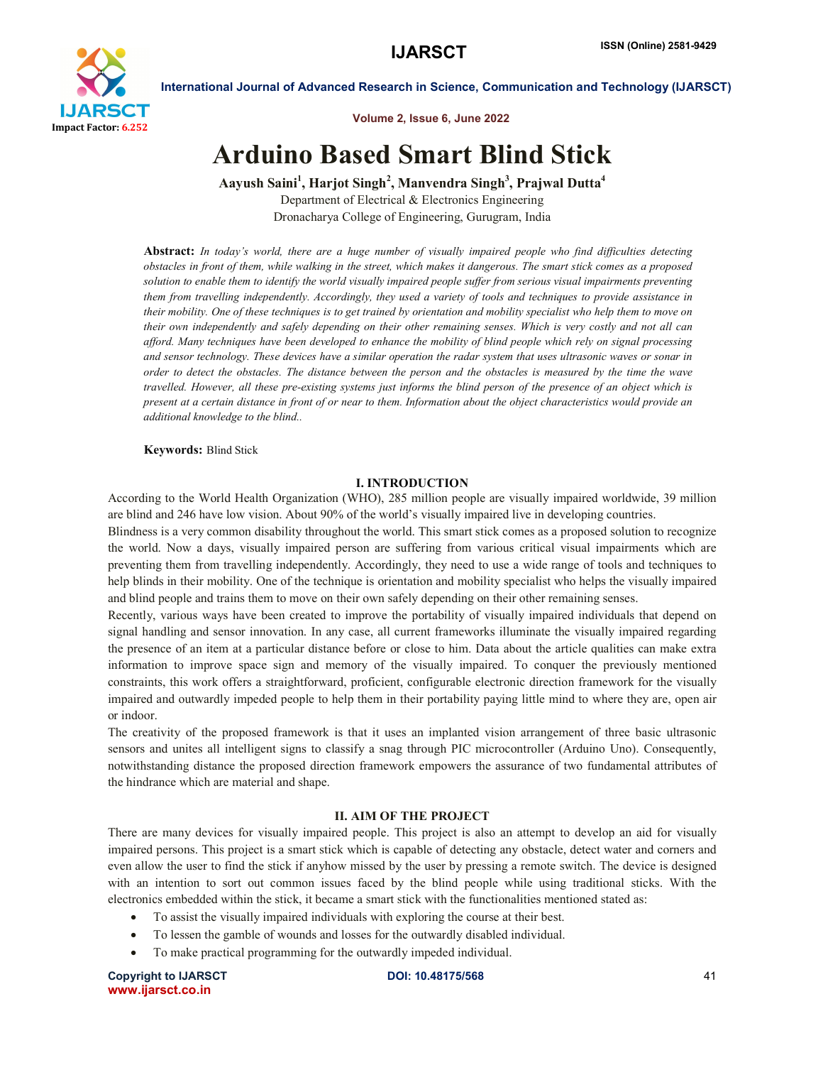

Volume 2, Issue 6, June 2022

# Arduino Based Smart Blind Stick

Aayush Saini<sup>1</sup>, Harjot Singh<sup>2</sup>, Manvendra Singh<sup>3</sup>, Prajwal Dutta<sup>4</sup> Department of Electrical & Electronics Engineering Dronacharya College of Engineering, Gurugram, India

Abstract: *In today's world, there are a huge number of visually impaired people who find difficulties detecting obstacles in front of them, while walking in the street, which makes it dangerous. The smart stick comes as a proposed solution to enable them to identify the world visually impaired people suffer from serious visual impairments preventing them from travelling independently. Accordingly, they used a variety of tools and techniques to provide assistance in their mobility. One of these techniques is to get trained by orientation and mobility specialist who help them to move on their own independently and safely depending on their other remaining senses. Which is very costly and not all can afford. Many techniques have been developed to enhance the mobility of blind people which rely on signal processing and sensor technology. These devices have a similar operation the radar system that uses ultrasonic waves or sonar in order to detect the obstacles. The distance between the person and the obstacles is measured by the time the wave travelled. However, all these pre-existing systems just informs the blind person of the presence of an object which is present at a certain distance in front of or near to them. Information about the object characteristics would provide an additional knowledge to the blind..*

Keywords: Blind Stick

### I. INTRODUCTION

According to the World Health Organization (WHO), 285 million people are visually impaired worldwide, 39 million are blind and 246 have low vision. About 90% of the world's visually impaired live in developing countries.

Blindness is a very common disability throughout the world. This smart stick comes as a proposed solution to recognize the world. Now a days, visually impaired person are suffering from various critical visual impairments which are preventing them from travelling independently. Accordingly, they need to use a wide range of tools and techniques to help blinds in their mobility. One of the technique is orientation and mobility specialist who helps the visually impaired and blind people and trains them to move on their own safely depending on their other remaining senses.

Recently, various ways have been created to improve the portability of visually impaired individuals that depend on signal handling and sensor innovation. In any case, all current frameworks illuminate the visually impaired regarding the presence of an item at a particular distance before or close to him. Data about the article qualities can make extra information to improve space sign and memory of the visually impaired. To conquer the previously mentioned constraints, this work offers a straightforward, proficient, configurable electronic direction framework for the visually impaired and outwardly impeded people to help them in their portability paying little mind to where they are, open air or indoor.

The creativity of the proposed framework is that it uses an implanted vision arrangement of three basic ultrasonic sensors and unites all intelligent signs to classify a snag through PIC microcontroller (Arduino Uno). Consequently, notwithstanding distance the proposed direction framework empowers the assurance of two fundamental attributes of the hindrance which are material and shape.

#### II. AIM OF THE PROJECT

There are many devices for visually impaired people. This project is also an attempt to develop an aid for visually impaired persons. This project is a smart stick which is capable of detecting any obstacle, detect water and corners and even allow the user to find the stick if anyhow missed by the user by pressing a remote switch. The device is designed with an intention to sort out common issues faced by the blind people while using traditional sticks. With the electronics embedded within the stick, it became a smart stick with the functionalities mentioned stated as:

- To assist the visually impaired individuals with exploring the course at their best.
- To lessen the gamble of wounds and losses for the outwardly disabled individual.
- To make practical programming for the outwardly impeded individual.

Copyright to IJARSCTDOI: 10.48175/568 **41** www.ijarsct.co.in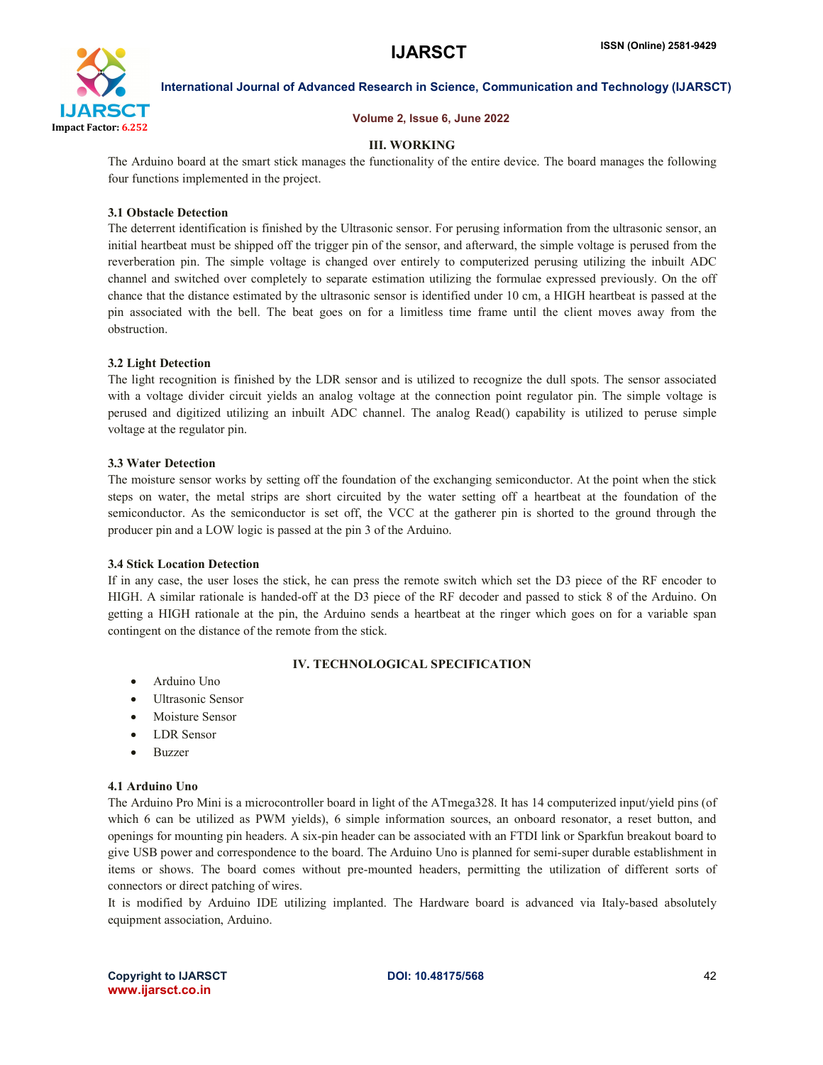

# Volume 2, Issue 6, June 2022

# III. WORKING

The Arduino board at the smart stick manages the functionality of the entire device. The board manages the following four functions implemented in the project.

### 3.1 Obstacle Detection

The deterrent identification is finished by the Ultrasonic sensor. For perusing information from the ultrasonic sensor, an initial heartbeat must be shipped off the trigger pin of the sensor, and afterward, the simple voltage is perused from the reverberation pin. The simple voltage is changed over entirely to computerized perusing utilizing the inbuilt ADC channel and switched over completely to separate estimation utilizing the formulae expressed previously. On the off chance that the distance estimated by the ultrasonic sensor is identified under 10 cm, a HIGH heartbeat is passed at the pin associated with the bell. The beat goes on for a limitless time frame until the client moves away from the obstruction.

# 3.2 Light Detection

The light recognition is finished by the LDR sensor and is utilized to recognize the dull spots. The sensor associated with a voltage divider circuit yields an analog voltage at the connection point regulator pin. The simple voltage is perused and digitized utilizing an inbuilt ADC channel. The analog Read() capability is utilized to peruse simple voltage at the regulator pin.

### 3.3 Water Detection

The moisture sensor works by setting off the foundation of the exchanging semiconductor. At the point when the stick steps on water, the metal strips are short circuited by the water setting off a heartbeat at the foundation of the semiconductor. As the semiconductor is set off, the VCC at the gatherer pin is shorted to the ground through the producer pin and a LOW logic is passed at the pin 3 of the Arduino.

### 3.4 Stick Location Detection

If in any case, the user loses the stick, he can press the remote switch which set the D3 piece of the RF encoder to HIGH. A similar rationale is handed-off at the D3 piece of the RF decoder and passed to stick 8 of the Arduino. On getting a HIGH rationale at the pin, the Arduino sends a heartbeat at the ringer which goes on for a variable span contingent on the distance of the remote from the stick.

# IV. TECHNOLOGICAL SPECIFICATION

- Arduino Uno
- Ultrasonic Sensor
- Moisture Sensor
- LDR Sensor
- Buzzer

### 4.1 Arduino Uno

The Arduino Pro Mini is a microcontroller board in light of the ATmega328. It has 14 computerized input/yield pins (of which 6 can be utilized as PWM yields), 6 simple information sources, an onboard resonator, a reset button, and openings for mounting pin headers. A six-pin header can be associated with an FTDI link or Sparkfun breakout board to give USB power and correspondence to the board. The Arduino Uno is planned for semi-super durable establishment in items or shows. The board comes without pre-mounted headers, permitting the utilization of different sorts of connectors or direct patching of wires.

It is modified by Arduino IDE utilizing implanted. The Hardware board is advanced via Italy-based absolutely equipment association, Arduino.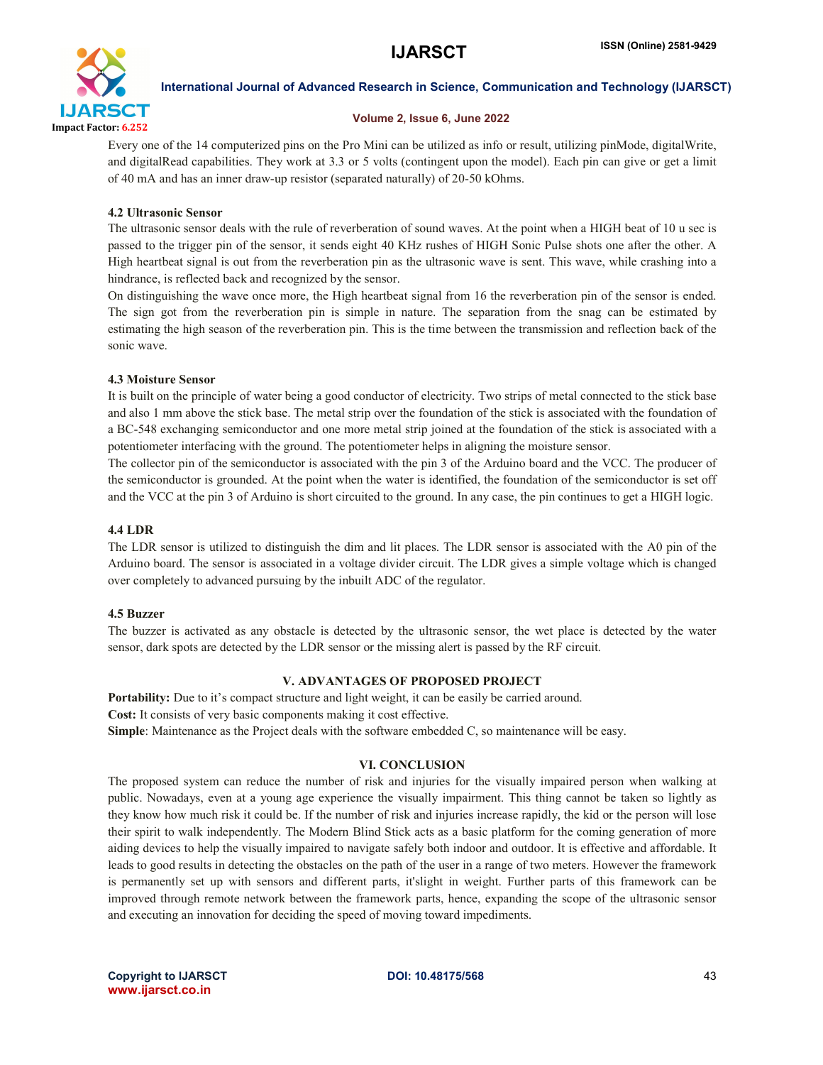

# Volume 2, Issue 6, June 2022

Every one of the 14 computerized pins on the Pro Mini can be utilized as info or result, utilizing pinMode, digitalWrite, and digitalRead capabilities. They work at 3.3 or 5 volts (contingent upon the model). Each pin can give or get a limit of 40 mA and has an inner draw-up resistor (separated naturally) of 20-50 kOhms.

# 4.2 Ultrasonic Sensor

The ultrasonic sensor deals with the rule of reverberation of sound waves. At the point when a HIGH beat of 10 u sec is passed to the trigger pin of the sensor, it sends eight 40 KHz rushes of HIGH Sonic Pulse shots one after the other. A High heartbeat signal is out from the reverberation pin as the ultrasonic wave is sent. This wave, while crashing into a hindrance, is reflected back and recognized by the sensor.

On distinguishing the wave once more, the High heartbeat signal from 16 the reverberation pin of the sensor is ended. The sign got from the reverberation pin is simple in nature. The separation from the snag can be estimated by estimating the high season of the reverberation pin. This is the time between the transmission and reflection back of the sonic wave.

# 4.3 Moisture Sensor

It is built on the principle of water being a good conductor of electricity. Two strips of metal connected to the stick base and also 1 mm above the stick base. The metal strip over the foundation of the stick is associated with the foundation of a BC-548 exchanging semiconductor and one more metal strip joined at the foundation of the stick is associated with a potentiometer interfacing with the ground. The potentiometer helps in aligning the moisture sensor.

The collector pin of the semiconductor is associated with the pin 3 of the Arduino board and the VCC. The producer of the semiconductor is grounded. At the point when the water is identified, the foundation of the semiconductor is set off and the VCC at the pin 3 of Arduino is short circuited to the ground. In any case, the pin continues to get a HIGH logic.

# 4.4 LDR

The LDR sensor is utilized to distinguish the dim and lit places. The LDR sensor is associated with the A0 pin of the Arduino board. The sensor is associated in a voltage divider circuit. The LDR gives a simple voltage which is changed over completely to advanced pursuing by the inbuilt ADC of the regulator.

### 4.5 Buzzer

The buzzer is activated as any obstacle is detected by the ultrasonic sensor, the wet place is detected by the water sensor, dark spots are detected by the LDR sensor or the missing alert is passed by the RF circuit.

# V. ADVANTAGES OF PROPOSED PROJECT

Portability: Due to it's compact structure and light weight, it can be easily be carried around. Cost: It consists of very basic components making it cost effective. Simple: Maintenance as the Project deals with the software embedded C, so maintenance will be easy.

# VI. CONCLUSION

The proposed system can reduce the number of risk and injuries for the visually impaired person when walking at public. Nowadays, even at a young age experience the visually impairment. This thing cannot be taken so lightly as they know how much risk it could be. If the number of risk and injuries increase rapidly, the kid or the person will lose their spirit to walk independently. The Modern Blind Stick acts as a basic platform for the coming generation of more aiding devices to help the visually impaired to navigate safely both indoor and outdoor. It is effective and affordable. It leads to good results in detecting the obstacles on the path of the user in a range of two meters. However the framework is permanently set up with sensors and different parts, it'slight in weight. Further parts of this framework can be improved through remote network between the framework parts, hence, expanding the scope of the ultrasonic sensor and executing an innovation for deciding the speed of moving toward impediments.